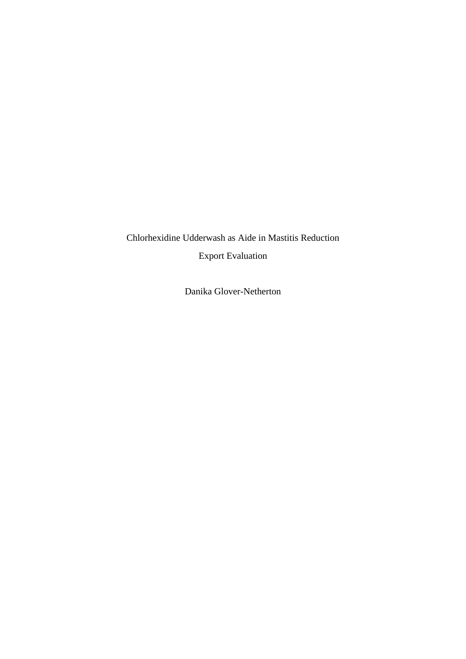Chlorhexidine Udderwash as Aide in Mastitis Reduction Export Evaluation

Danika Glover-Netherton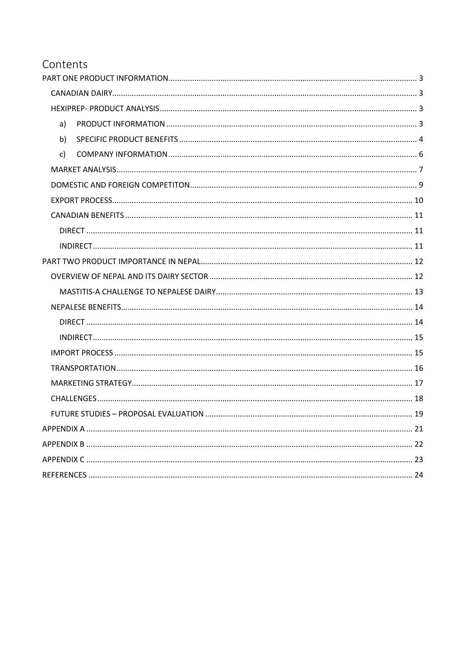# Contents

<span id="page-1-0"></span>

| a)           |  |
|--------------|--|
| b)           |  |
| $\mathsf{C}$ |  |
|              |  |
|              |  |
|              |  |
|              |  |
|              |  |
|              |  |
|              |  |
|              |  |
|              |  |
|              |  |
|              |  |
|              |  |
|              |  |
|              |  |
|              |  |
|              |  |
|              |  |
|              |  |
|              |  |
|              |  |
|              |  |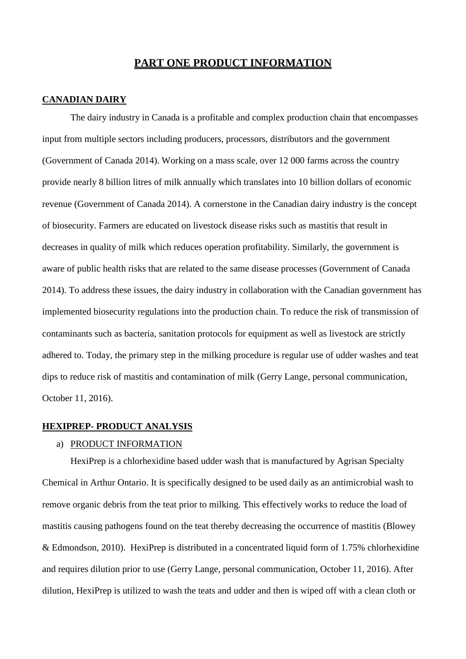## **PART ONE PRODUCT INFORMATION**

## <span id="page-2-0"></span>**CANADIAN DAIRY**

The dairy industry in Canada is a profitable and complex production chain that encompasses input from multiple sectors including producers, processors, distributors and the government (Government of Canada 2014). Working on a mass scale, over 12 000 farms across the country provide nearly 8 billion litres of milk annually which translates into 10 billion dollars of economic revenue (Government of Canada 2014). A cornerstone in the Canadian dairy industry is the concept of biosecurity. Farmers are educated on livestock disease risks such as mastitis that result in decreases in quality of milk which reduces operation profitability. Similarly, the government is aware of public health risks that are related to the same disease processes (Government of Canada 2014). To address these issues, the dairy industry in collaboration with the Canadian government has implemented biosecurity regulations into the production chain. To reduce the risk of transmission of contaminants such as bacteria, sanitation protocols for equipment as well as livestock are strictly adhered to. Today, the primary step in the milking procedure is regular use of udder washes and teat dips to reduce risk of mastitis and contamination of milk (Gerry Lange, personal communication, October 11, 2016).

## <span id="page-2-1"></span>**HEXIPREP- PRODUCT ANALYSIS**

### <span id="page-2-2"></span>a) PRODUCT INFORMATION

HexiPrep is a chlorhexidine based udder wash that is manufactured by Agrisan Specialty Chemical in Arthur Ontario. It is specifically designed to be used daily as an antimicrobial wash to remove organic debris from the teat prior to milking. This effectively works to reduce the load of mastitis causing pathogens found on the teat thereby decreasing the occurrence of mastitis (Blowey & Edmondson, 2010). HexiPrep is distributed in a concentrated liquid form of 1.75% chlorhexidine and requires dilution prior to use (Gerry Lange, personal communication, October 11, 2016). After dilution, HexiPrep is utilized to wash the teats and udder and then is wiped off with a clean cloth or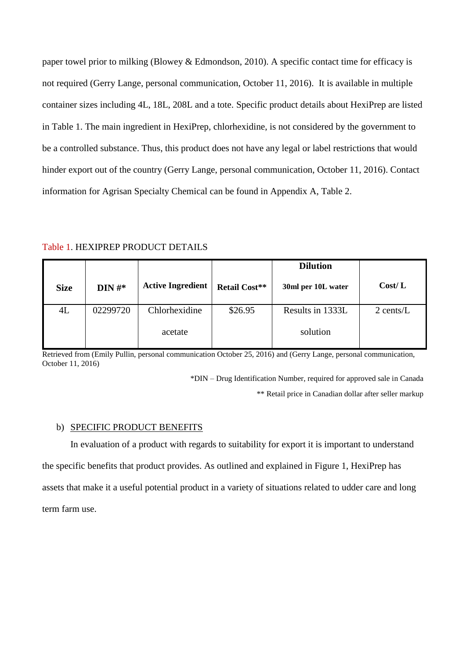paper towel prior to milking (Blowey & Edmondson, 2010). A specific contact time for efficacy is not required (Gerry Lange, personal communication, October 11, 2016). It is available in multiple container sizes including 4L, 18L, 208L and a tote. Specific product details about HexiPrep are listed in Table 1. The main ingredient in HexiPrep, chlorhexidine, is not considered by the government to be a controlled substance. Thus, this product does not have any legal or label restrictions that would hinder export out of the country (Gerry Lange, personal communication, October 11, 2016). Contact information for Agrisan Specialty Chemical can be found in Appendix A, Table 2.

Table 1. HEXIPREP PRODUCT DETAILS

|             |           |                          |                      | <b>Dilution</b>    |             |
|-------------|-----------|--------------------------|----------------------|--------------------|-------------|
| <b>Size</b> | $DIN H^*$ | <b>Active Ingredient</b> | <b>Retail Cost**</b> | 30ml per 10L water | Cost/L      |
| 4L          | 02299720  | Chlorhexidine            | \$26.95              | Results in 1333L   | $2$ cents/L |
|             |           | acetate                  |                      | solution           |             |

Retrieved from (Emily Pullin, personal communication October 25, 2016) and (Gerry Lange, personal communication, October 11, 2016)

> \*DIN – Drug Identification Number, required for approved sale in Canada \*\* Retail price in Canadian dollar after seller markup

## <span id="page-3-0"></span>b) SPECIFIC PRODUCT BENEFITS

In evaluation of a product with regards to suitability for export it is important to understand the specific benefits that product provides. As outlined and explained in Figure 1, HexiPrep has assets that make it a useful potential product in a variety of situations related to udder care and long term farm use.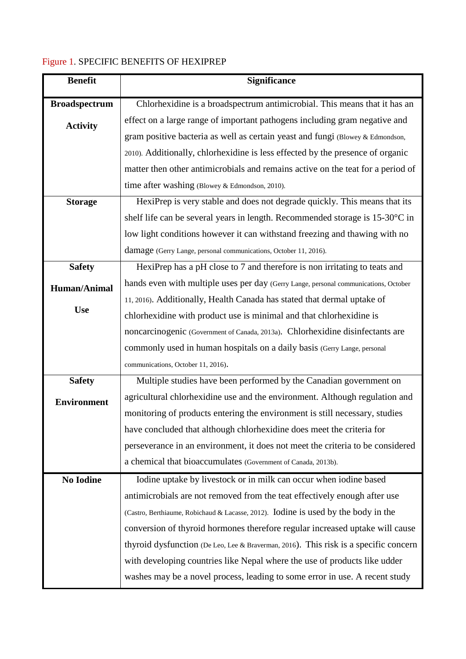# Figure 1. SPECIFIC BENEFITS OF HEXIPREP

| <b>Benefit</b>       | Significance                                                                         |
|----------------------|--------------------------------------------------------------------------------------|
| <b>Broadspectrum</b> | Chlorhexidine is a broadspectrum antimicrobial. This means that it has an            |
| <b>Activity</b>      | effect on a large range of important pathogens including gram negative and           |
|                      | gram positive bacteria as well as certain yeast and fungi (Blowey & Edmondson,       |
|                      | 2010). Additionally, chlorhexidine is less effected by the presence of organic       |
|                      | matter then other antimicrobials and remains active on the teat for a period of      |
|                      | time after washing (Blowey & Edmondson, 2010).                                       |
| <b>Storage</b>       | HexiPrep is very stable and does not degrade quickly. This means that its            |
|                      | shelf life can be several years in length. Recommended storage is 15-30°C in         |
|                      | low light conditions however it can withstand freezing and thawing with no           |
|                      | damage (Gerry Lange, personal communications, October 11, 2016).                     |
| <b>Safety</b>        | HexiPrep has a pH close to 7 and therefore is non irritating to teats and            |
| <b>Human/Animal</b>  | hands even with multiple uses per day (Gerry Lange, personal communications, October |
|                      | 11, 2016). Additionally, Health Canada has stated that dermal uptake of              |
| <b>Use</b>           | chlorhexidine with product use is minimal and that chlorhexidine is                  |
|                      | noncarcinogenic (Government of Canada, 2013a). Chlorhexidine disinfectants are       |
|                      | commonly used in human hospitals on a daily basis (Gerry Lange, personal             |
|                      | communications, October 11, 2016).                                                   |
| <b>Safety</b>        | Multiple studies have been performed by the Canadian government on                   |
| <b>Environment</b>   | agricultural chlorhexidine use and the environment. Although regulation and          |
|                      | monitoring of products entering the environment is still necessary, studies          |
|                      | have concluded that although chlorhexidine does meet the criteria for                |
|                      | perseverance in an environment, it does not meet the criteria to be considered       |
|                      | a chemical that bioaccumulates (Government of Canada, 2013b).                        |
| <b>No Iodine</b>     | Iodine uptake by livestock or in milk can occur when iodine based                    |
|                      | antimicrobials are not removed from the teat effectively enough after use            |
|                      | (Castro, Berthiaume, Robichaud & Lacasse, 2012). Iodine is used by the body in the   |
|                      | conversion of thyroid hormones therefore regular increased uptake will cause         |
|                      | thyroid dysfunction (De Leo, Lee & Braverman, 2016). This risk is a specific concern |
|                      | with developing countries like Nepal where the use of products like udder            |
|                      | washes may be a novel process, leading to some error in use. A recent study          |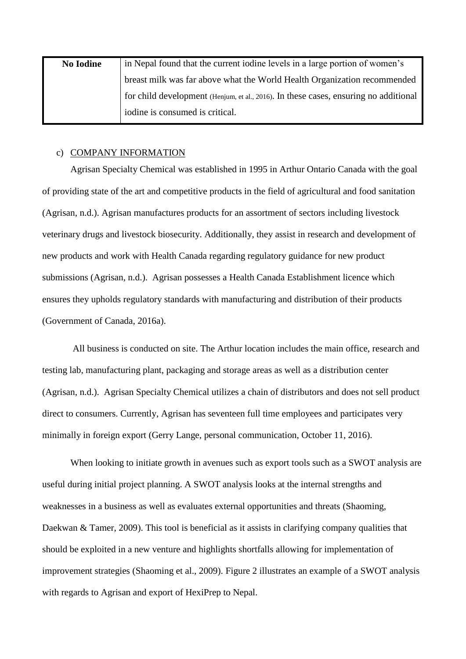| <b>No Iodine</b> | in Nepal found that the current iodine levels in a large portion of women's          |
|------------------|--------------------------------------------------------------------------------------|
|                  | breast milk was far above what the World Health Organization recommended             |
|                  | for child development (Henjum, et al., 2016). In these cases, ensuring no additional |
|                  | iodine is consumed is critical.                                                      |

### <span id="page-5-0"></span>c) COMPANY INFORMATION

Agrisan Specialty Chemical was established in 1995 in Arthur Ontario Canada with the goal of providing state of the art and competitive products in the field of agricultural and food sanitation (Agrisan, n.d.). Agrisan manufactures products for an assortment of sectors including livestock veterinary drugs and livestock biosecurity. Additionally, they assist in research and development of new products and work with Health Canada regarding regulatory guidance for new product submissions (Agrisan, n.d.). Agrisan possesses a Health Canada Establishment licence which ensures they upholds regulatory standards with manufacturing and distribution of their products (Government of Canada, 2016a).

All business is conducted on site. The Arthur location includes the main office, research and testing lab, manufacturing plant, packaging and storage areas as well as a distribution center (Agrisan, n.d.). Agrisan Specialty Chemical utilizes a chain of distributors and does not sell product direct to consumers. Currently, Agrisan has seventeen full time employees and participates very minimally in foreign export (Gerry Lange, personal communication, October 11, 2016).

When looking to initiate growth in avenues such as export tools such as a SWOT analysis are useful during initial project planning. A SWOT analysis looks at the internal strengths and weaknesses in a business as well as evaluates external opportunities and threats (Shaoming, Daekwan & Tamer, 2009). This tool is beneficial as it assists in clarifying company qualities that should be exploited in a new venture and highlights shortfalls allowing for implementation of improvement strategies (Shaoming et al., 2009). Figure 2 illustrates an example of a SWOT analysis with regards to Agrisan and export of HexiPrep to Nepal.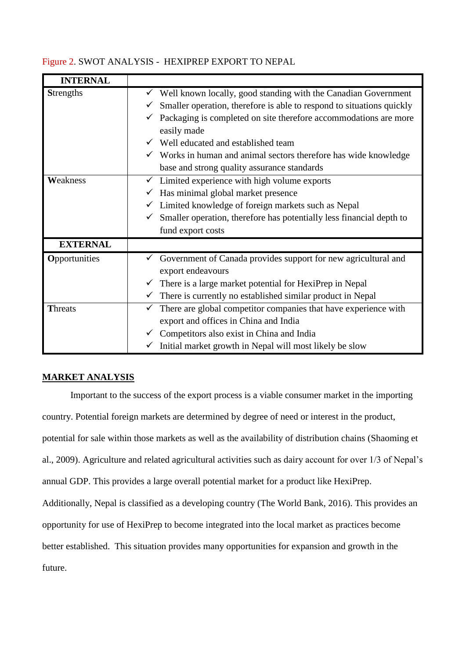## Figure 2. SWOT ANALYSIS - HEXIPREP EXPORT TO NEPAL

| <b>INTERNAL</b>  |                                                                                                                                                                                                                                                                                                                                                                                                                        |
|------------------|------------------------------------------------------------------------------------------------------------------------------------------------------------------------------------------------------------------------------------------------------------------------------------------------------------------------------------------------------------------------------------------------------------------------|
| <b>Strengths</b> | Well known locally, good standing with the Canadian Government<br>v.<br>Smaller operation, therefore is able to respond to situations quickly<br>✓<br>$\checkmark$ Packaging is completed on site therefore accommodations are more<br>easily made<br>Well educated and established team<br>$\checkmark$ Works in human and animal sectors therefore has wide knowledge<br>base and strong quality assurance standards |
| Weakness         | Limited experience with high volume exports<br>$\checkmark$<br>Has minimal global market presence<br>✓<br>$\checkmark$ Limited knowledge of foreign markets such as Nepal<br>Smaller operation, therefore has potentially less financial depth to<br>$\checkmark$<br>fund export costs                                                                                                                                 |
| <b>EXTERNAL</b>  |                                                                                                                                                                                                                                                                                                                                                                                                                        |
| Opportunities    | Government of Canada provides support for new agricultural and<br>export endeavours<br>There is a large market potential for HexiPrep in Nepal<br>There is currently no established similar product in Nepal<br>$\checkmark$                                                                                                                                                                                           |
| <b>Threats</b>   | There are global competitor companies that have experience with<br>$\checkmark$<br>export and offices in China and India<br>Competitors also exist in China and India<br>$\checkmark$<br>Initial market growth in Nepal will most likely be slow<br>$\checkmark$                                                                                                                                                       |

## <span id="page-6-0"></span>**MARKET ANALYSIS**

Important to the success of the export process is a viable consumer market in the importing country. Potential foreign markets are determined by degree of need or interest in the product, potential for sale within those markets as well as the availability of distribution chains (Shaoming et al., 2009). Agriculture and related agricultural activities such as dairy account for over 1/3 of Nepal's annual GDP. This provides a large overall potential market for a product like HexiPrep. Additionally, Nepal is classified as a developing country (The World Bank, 2016). This provides an opportunity for use of HexiPrep to become integrated into the local market as practices become better established. This situation provides many opportunities for expansion and growth in the future.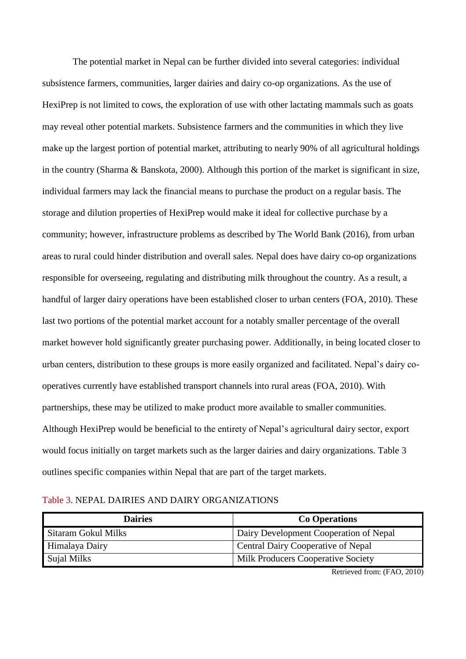The potential market in Nepal can be further divided into several categories: individual subsistence farmers, communities, larger dairies and dairy co-op organizations. As the use of HexiPrep is not limited to cows, the exploration of use with other lactating mammals such as goats may reveal other potential markets. Subsistence farmers and the communities in which they live make up the largest portion of potential market, attributing to nearly 90% of all agricultural holdings in the country (Sharma & Banskota, 2000). Although this portion of the market is significant in size, individual farmers may lack the financial means to purchase the product on a regular basis. The storage and dilution properties of HexiPrep would make it ideal for collective purchase by a community; however, infrastructure problems as described by The World Bank (2016), from urban areas to rural could hinder distribution and overall sales. Nepal does have dairy co-op organizations responsible for overseeing, regulating and distributing milk throughout the country. As a result, a handful of larger dairy operations have been established closer to urban centers (FOA, 2010). These last two portions of the potential market account for a notably smaller percentage of the overall market however hold significantly greater purchasing power. Additionally, in being located closer to urban centers, distribution to these groups is more easily organized and facilitated. Nepal's dairy cooperatives currently have established transport channels into rural areas (FOA, 2010). With partnerships, these may be utilized to make product more available to smaller communities. Although HexiPrep would be beneficial to the entirety of Nepal's agricultural dairy sector, export would focus initially on target markets such as the larger dairies and dairy organizations. Table 3 outlines specific companies within Nepal that are part of the target markets.

| Table 3. NEPAL DAIRIES AND DAIRY ORGANIZATIONS |  |  |  |  |  |  |  |
|------------------------------------------------|--|--|--|--|--|--|--|
|------------------------------------------------|--|--|--|--|--|--|--|

| <b>Dairies</b>      | <b>Co Operations</b>                      |
|---------------------|-------------------------------------------|
| Sitaram Gokul Milks | Dairy Development Cooperation of Nepal    |
| Himalaya Dairy      | <b>Central Dairy Cooperative of Nepal</b> |
| Sujal Milks         | <b>Milk Producers Cooperative Society</b> |

Retrieved from: (FAO, 2010)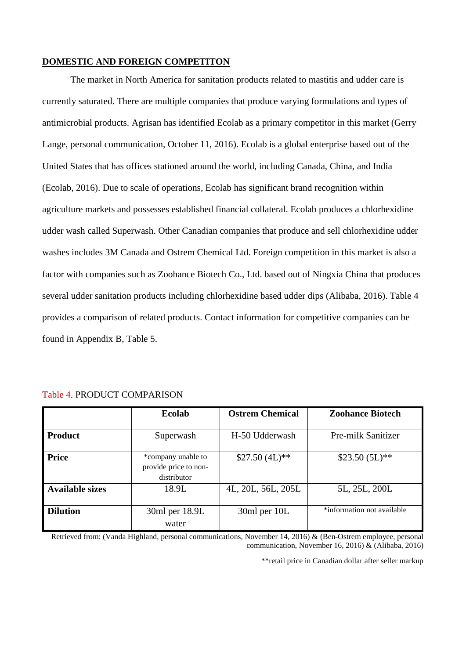## <span id="page-8-0"></span>**DOMESTIC AND FOREIGN COMPETITON**

The market in North America for sanitation products related to mastitis and udder care is currently saturated. There are multiple companies that produce varying formulations and types of antimicrobial products. Agrisan has identified Ecolab as a primary competitor in this market (Gerry Lange, personal communication, October 11, 2016). Ecolab is a global enterprise based out of the United States that has offices stationed around the world, including Canada, China, and India (Ecolab, 2016). Due to scale of operations, Ecolab has significant brand recognition within agriculture markets and possesses established financial collateral. Ecolab produces a chlorhexidine udder wash called Superwash. Other Canadian companies that produce and sell chlorhexidine udder washes includes 3M Canada and Ostrem Chemical Ltd. Foreign competition in this market is also a factor with companies such as Zoohance Biotech Co., Ltd. based out of Ningxia China that produces several udder sanitation products including chlorhexidine based udder dips (Alibaba, 2016). Table 4 provides a comparison of related products. Contact information for competitive companies can be found in Appendix B, Table 5.

|                        | <b>Ecolab</b>                                              | <b>Ostrem Chemical</b> | <b>Zoohance Biotech</b>    |
|------------------------|------------------------------------------------------------|------------------------|----------------------------|
| <b>Product</b>         | Superwash                                                  | H-50 Udderwash         | Pre-milk Sanitizer         |
| <b>Price</b>           | *company unable to<br>provide price to non-<br>distributor | $$27.50 (4L)**$        | $$23.50 (5L)*$             |
| <b>Available sizes</b> | 18.9L                                                      | 4L, 20L, 56L, 205L     | 5L, 25L, 200L              |
| <b>Dilution</b>        | 30ml per 18.9L<br>water                                    | 30ml per 10L           | *information not available |

#### Table 4. PRODUCT COMPARISON

<span id="page-8-1"></span>Retrieved from: (Vanda Highland, personal communications, November 14, 2016) & (Ben-Ostrem employee, personal communication, November 16, 2016) & (Alibaba, 2016)

\*\*retail price in Canadian dollar after seller markup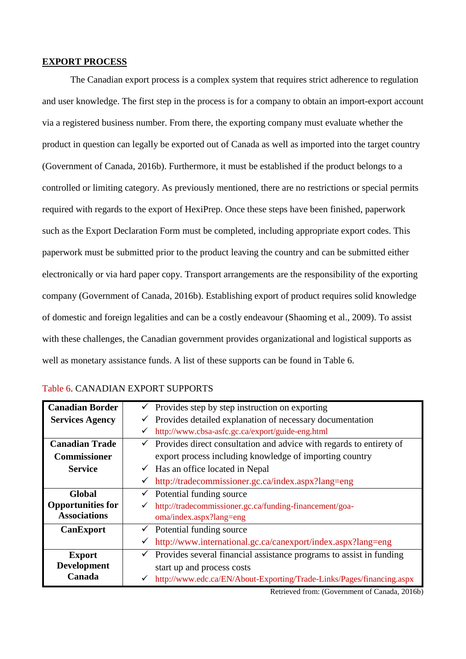### **EXPORT PROCESS**

The Canadian export process is a complex system that requires strict adherence to regulation and user knowledge. The first step in the process is for a company to obtain an import-export account via a registered business number. From there, the exporting company must evaluate whether the product in question can legally be exported out of Canada as well as imported into the target country (Government of Canada, 2016b). Furthermore, it must be established if the product belongs to a controlled or limiting category. As previously mentioned, there are no restrictions or special permits required with regards to the export of HexiPrep. Once these steps have been finished, paperwork such as the Export Declaration Form must be completed, including appropriate export codes. This paperwork must be submitted prior to the product leaving the country and can be submitted either electronically or via hard paper copy. Transport arrangements are the responsibility of the exporting company (Government of Canada, 2016b). Establishing export of product requires solid knowledge of domestic and foreign legalities and can be a costly endeavour (Shaoming et al., 2009). To assist with these challenges, the Canadian government provides organizational and logistical supports as well as monetary assistance funds. A list of these supports can be found in Table 6.

| <b>Canadian Border</b>   | $\checkmark$ Provides step by step instruction on exporting                |  |
|--------------------------|----------------------------------------------------------------------------|--|
| <b>Services Agency</b>   | Provides detailed explanation of necessary documentation<br>✓              |  |
|                          | http://www.cbsa-asfc.gc.ca/export/guide-eng.html<br>✓                      |  |
| <b>Canadian Trade</b>    | Provides direct consultation and advice with regards to entirety of<br>✓   |  |
| <b>Commissioner</b>      | export process including knowledge of importing country                    |  |
| <b>Service</b>           | $\checkmark$ Has an office located in Nepal                                |  |
|                          | http://tradecommissioner.gc.ca/index.aspx?lang=eng<br>$\checkmark$         |  |
| Global                   | $\checkmark$ Potential funding source                                      |  |
| <b>Opportunities for</b> | http://tradecommissioner.gc.ca/funding-financement/goa-<br>✓               |  |
| <b>Associations</b>      | oma/index.aspx?lang=eng                                                    |  |
| <b>CanExport</b>         | $\checkmark$ Potential funding source                                      |  |
|                          | http://www.international.gc.ca/canexport/index.aspx?lang=eng<br>✓          |  |
| <b>Export</b>            | Provides several financial assistance programs to assist in funding<br>✓   |  |
| <b>Development</b>       | start up and process costs                                                 |  |
| Canada                   | http://www.edc.ca/EN/About-Exporting/Trade-Links/Pages/financing.aspx<br>✓ |  |

### Table 6. CANADIAN EXPORT SUPPORTS

Retrieved from: (Government of Canada, 2016b)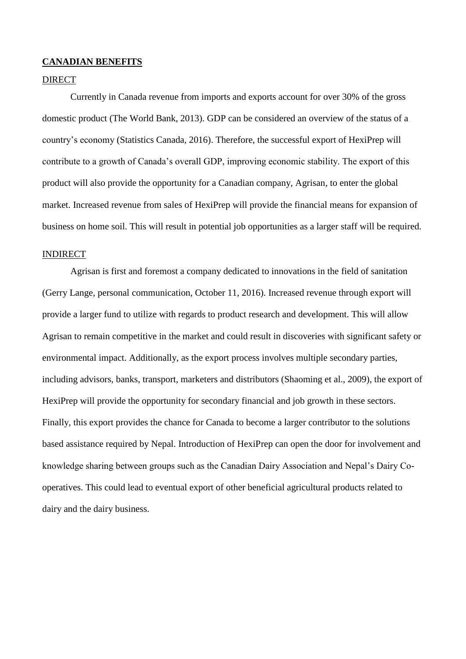### <span id="page-10-0"></span>**CANADIAN BENEFITS**

## <span id="page-10-1"></span>**DIRECT**

Currently in Canada revenue from imports and exports account for over 30% of the gross domestic product (The World Bank, 2013). GDP can be considered an overview of the status of a country's economy (Statistics Canada, 2016). Therefore, the successful export of HexiPrep will contribute to a growth of Canada's overall GDP, improving economic stability. The export of this product will also provide the opportunity for a Canadian company, Agrisan, to enter the global market. Increased revenue from sales of HexiPrep will provide the financial means for expansion of business on home soil. This will result in potential job opportunities as a larger staff will be required.

## <span id="page-10-2"></span>INDIRECT

Agrisan is first and foremost a company dedicated to innovations in the field of sanitation (Gerry Lange, personal communication, October 11, 2016). Increased revenue through export will provide a larger fund to utilize with regards to product research and development. This will allow Agrisan to remain competitive in the market and could result in discoveries with significant safety or environmental impact. Additionally, as the export process involves multiple secondary parties, including advisors, banks, transport, marketers and distributors (Shaoming et al., 2009), the export of HexiPrep will provide the opportunity for secondary financial and job growth in these sectors. Finally, this export provides the chance for Canada to become a larger contributor to the solutions based assistance required by Nepal. Introduction of HexiPrep can open the door for involvement and knowledge sharing between groups such as the Canadian Dairy Association and Nepal's Dairy Cooperatives. This could lead to eventual export of other beneficial agricultural products related to dairy and the dairy business.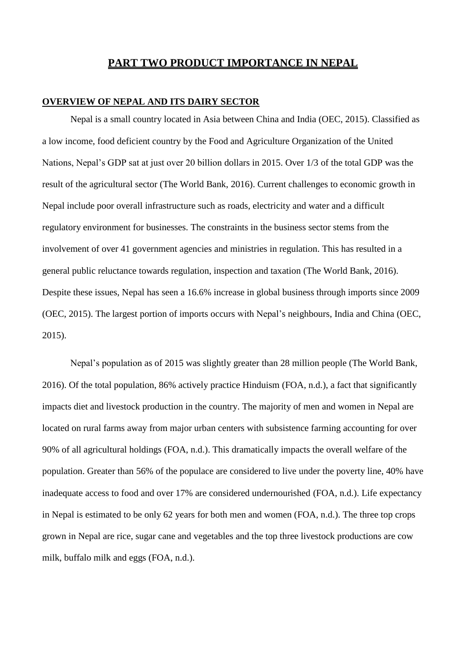## **PART TWO PRODUCT IMPORTANCE IN NEPAL**

## <span id="page-11-1"></span><span id="page-11-0"></span>**OVERVIEW OF NEPAL AND ITS DAIRY SECTOR**

Nepal is a small country located in Asia between China and India (OEC, 2015). Classified as a low income, food deficient country by the Food and Agriculture Organization of the United Nations, Nepal's GDP sat at just over 20 billion dollars in 2015. Over 1/3 of the total GDP was the result of the agricultural sector (The World Bank, 2016). Current challenges to economic growth in Nepal include poor overall infrastructure such as roads, electricity and water and a difficult regulatory environment for businesses. The constraints in the business sector stems from the involvement of over 41 government agencies and ministries in regulation. This has resulted in a general public reluctance towards regulation, inspection and taxation (The World Bank, 2016). Despite these issues, Nepal has seen a 16.6% increase in global business through imports since 2009 (OEC, 2015). The largest portion of imports occurs with Nepal's neighbours, India and China (OEC, 2015).

Nepal's population as of 2015 was slightly greater than 28 million people (The World Bank, 2016). Of the total population, 86% actively practice Hinduism (FOA, n.d.), a fact that significantly impacts diet and livestock production in the country. The majority of men and women in Nepal are located on rural farms away from major urban centers with subsistence farming accounting for over 90% of all agricultural holdings (FOA, n.d.). This dramatically impacts the overall welfare of the population. Greater than 56% of the populace are considered to live under the poverty line, 40% have inadequate access to food and over 17% are considered undernourished (FOA, n.d.). Life expectancy in Nepal is estimated to be only 62 years for both men and women (FOA, n.d.). The three top crops grown in Nepal are rice, sugar cane and vegetables and the top three livestock productions are cow milk, buffalo milk and eggs (FOA, n.d.).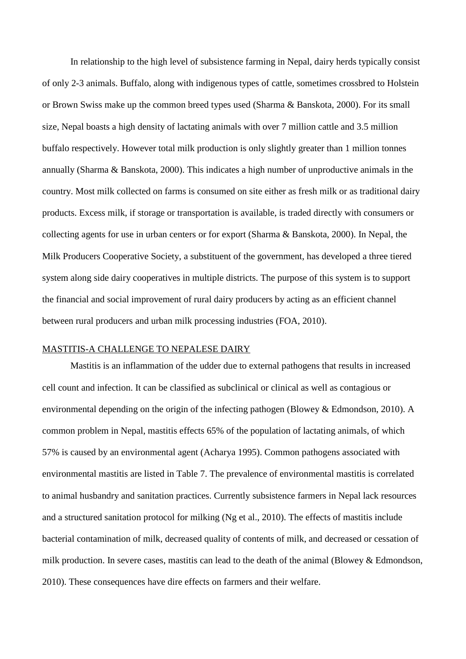In relationship to the high level of subsistence farming in Nepal, dairy herds typically consist of only 2-3 animals. Buffalo, along with indigenous types of cattle, sometimes crossbred to Holstein or Brown Swiss make up the common breed types used (Sharma & Banskota, 2000). For its small size, Nepal boasts a high density of lactating animals with over 7 million cattle and 3.5 million buffalo respectively. However total milk production is only slightly greater than 1 million tonnes annually (Sharma & Banskota, 2000). This indicates a high number of unproductive animals in the country. Most milk collected on farms is consumed on site either as fresh milk or as traditional dairy products. Excess milk, if storage or transportation is available, is traded directly with consumers or collecting agents for use in urban centers or for export (Sharma & Banskota, 2000). In Nepal, the Milk Producers Cooperative Society, a substituent of the government, has developed a three tiered system along side dairy cooperatives in multiple districts. The purpose of this system is to support the financial and social improvement of rural dairy producers by acting as an efficient channel between rural producers and urban milk processing industries (FOA, 2010).

### <span id="page-12-0"></span>MASTITIS-A CHALLENGE TO NEPALESE DAIRY

Mastitis is an inflammation of the udder due to external pathogens that results in increased cell count and infection. It can be classified as subclinical or clinical as well as contagious or environmental depending on the origin of the infecting pathogen (Blowey & Edmondson, 2010). A common problem in Nepal, mastitis effects 65% of the population of lactating animals, of which 57% is caused by an environmental agent (Acharya 1995). Common pathogens associated with environmental mastitis are listed in Table 7. The prevalence of environmental mastitis is correlated to animal husbandry and sanitation practices. Currently subsistence farmers in Nepal lack resources and a structured sanitation protocol for milking (Ng et al., 2010). The effects of mastitis include bacterial contamination of milk, decreased quality of contents of milk, and decreased or cessation of milk production. In severe cases, mastitis can lead to the death of the animal (Blowey & Edmondson, 2010). These consequences have dire effects on farmers and their welfare.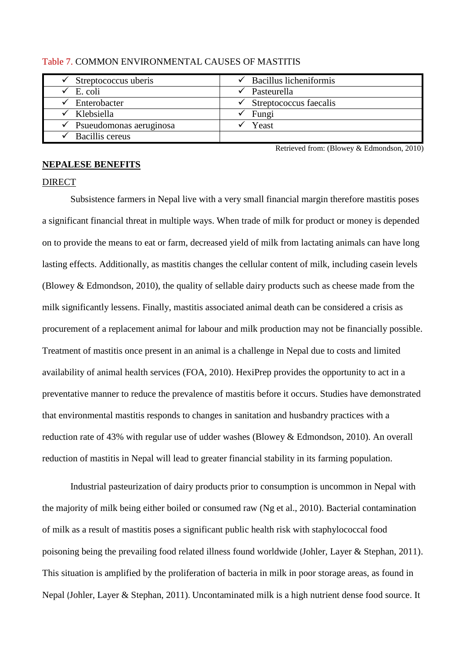| Streptococcus uberis    | $\checkmark$ Bacillus licheniformis |
|-------------------------|-------------------------------------|
| E. coli                 | Pasteurella                         |
| Enterobacter            | Streptococcus faecalis              |
| Klebsiella              | Fungi                               |
| Psueudomonas aeruginosa | Yeast                               |
| Bacillis cereus         |                                     |

#### Table 7. COMMON ENVIRONMENTAL CAUSES OF MASTITIS

Retrieved from: (Blowey & Edmondson, 2010)

#### <span id="page-13-0"></span>**NEPALESE BENEFITS**

#### <span id="page-13-1"></span>DIRECT

Subsistence farmers in Nepal live with a very small financial margin therefore mastitis poses a significant financial threat in multiple ways. When trade of milk for product or money is depended on to provide the means to eat or farm, decreased yield of milk from lactating animals can have long lasting effects. Additionally, as mastitis changes the cellular content of milk, including casein levels (Blowey & Edmondson, 2010), the quality of sellable dairy products such as cheese made from the milk significantly lessens. Finally, mastitis associated animal death can be considered a crisis as procurement of a replacement animal for labour and milk production may not be financially possible. Treatment of mastitis once present in an animal is a challenge in Nepal due to costs and limited availability of animal health services (FOA, 2010). HexiPrep provides the opportunity to act in a preventative manner to reduce the prevalence of mastitis before it occurs. Studies have demonstrated that environmental mastitis responds to changes in sanitation and husbandry practices with a reduction rate of 43% with regular use of udder washes (Blowey & Edmondson, 2010). An overall reduction of mastitis in Nepal will lead to greater financial stability in its farming population.

Industrial pasteurization of dairy products prior to consumption is uncommon in Nepal with the majority of milk being either boiled or consumed raw (Ng et al., 2010). Bacterial contamination of milk as a result of mastitis poses a significant public health risk with staphylococcal food poisoning being the prevailing food related illness found worldwide (Johler, Layer & Stephan, 2011). This situation is amplified by the proliferation of bacteria in milk in poor storage areas, as found in Nepal (Johler, Layer & Stephan, 2011). Uncontaminated milk is a high nutrient dense food source. It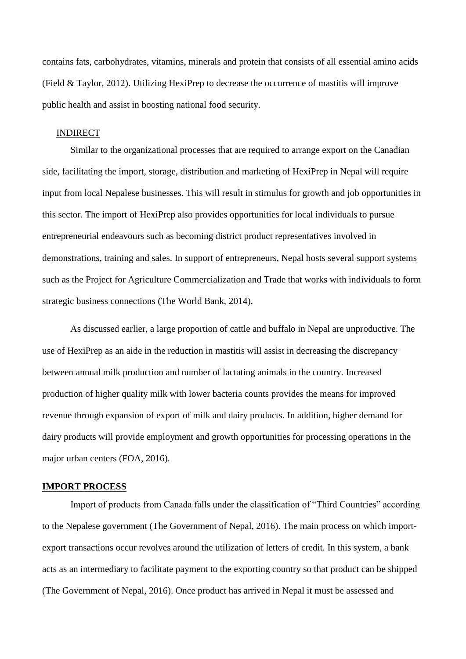contains fats, carbohydrates, vitamins, minerals and protein that consists of all essential amino acids (Field & Taylor, 2012). Utilizing HexiPrep to decrease the occurrence of mastitis will improve public health and assist in boosting national food security.

## <span id="page-14-0"></span>INDIRECT

Similar to the organizational processes that are required to arrange export on the Canadian side, facilitating the import, storage, distribution and marketing of HexiPrep in Nepal will require input from local Nepalese businesses. This will result in stimulus for growth and job opportunities in this sector. The import of HexiPrep also provides opportunities for local individuals to pursue entrepreneurial endeavours such as becoming district product representatives involved in demonstrations, training and sales. In support of entrepreneurs, Nepal hosts several support systems such as the Project for Agriculture Commercialization and Trade that works with individuals to form strategic business connections (The World Bank, 2014).

As discussed earlier, a large proportion of cattle and buffalo in Nepal are unproductive. The use of HexiPrep as an aide in the reduction in mastitis will assist in decreasing the discrepancy between annual milk production and number of lactating animals in the country. Increased production of higher quality milk with lower bacteria counts provides the means for improved revenue through expansion of export of milk and dairy products. In addition, higher demand for dairy products will provide employment and growth opportunities for processing operations in the major urban centers (FOA, 2016).

## <span id="page-14-1"></span>**IMPORT PROCESS**

Import of products from Canada falls under the classification of "Third Countries" according to the Nepalese government (The Government of Nepal, 2016). The main process on which importexport transactions occur revolves around the utilization of letters of credit. In this system, a bank acts as an intermediary to facilitate payment to the exporting country so that product can be shipped (The Government of Nepal, 2016). Once product has arrived in Nepal it must be assessed and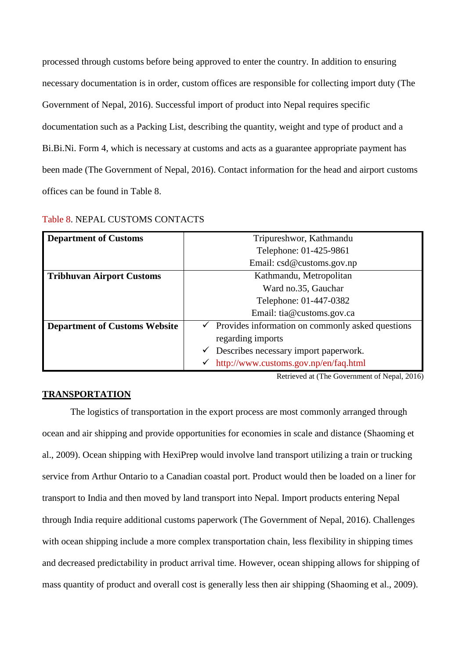processed through customs before being approved to enter the country. In addition to ensuring necessary documentation is in order, custom offices are responsible for collecting import duty (The Government of Nepal, 2016). Successful import of product into Nepal requires specific documentation such as a Packing List, describing the quantity, weight and type of product and a Bi.Bi.Ni. Form 4, which is necessary at customs and acts as a guarantee appropriate payment has been made (The Government of Nepal, 2016). Contact information for the head and airport customs offices can be found in Table 8.

| <b>Department of Customs</b>         | Tripureshwor, Kathmandu                                       |  |  |
|--------------------------------------|---------------------------------------------------------------|--|--|
|                                      | Telephone: 01-425-9861                                        |  |  |
|                                      | Email: csd@customs.gov.np                                     |  |  |
| <b>Tribhuvan Airport Customs</b>     | Kathmandu, Metropolitan                                       |  |  |
|                                      | Ward no.35, Gauchar                                           |  |  |
|                                      | Telephone: 01-447-0382                                        |  |  |
|                                      | Email: tia@customs.gov.ca                                     |  |  |
| <b>Department of Customs Website</b> | $\checkmark$ Provides information on commonly asked questions |  |  |
|                                      | regarding imports                                             |  |  |
|                                      | Describes necessary import paperwork.<br>✓                    |  |  |
|                                      | http://www.customs.gov.np/en/faq.html                         |  |  |

Table 8. NEPAL CUSTOMS CONTACTS

Retrieved at (The Government of Nepal, 2016)

## <span id="page-15-0"></span>**TRANSPORTATION**

The logistics of transportation in the export process are most commonly arranged through ocean and air shipping and provide opportunities for economies in scale and distance (Shaoming et al., 2009). Ocean shipping with HexiPrep would involve land transport utilizing a train or trucking service from Arthur Ontario to a Canadian coastal port. Product would then be loaded on a liner for transport to India and then moved by land transport into Nepal. Import products entering Nepal through India require additional customs paperwork (The Government of Nepal, 2016). Challenges with ocean shipping include a more complex transportation chain, less flexibility in shipping times and decreased predictability in product arrival time. However, ocean shipping allows for shipping of mass quantity of product and overall cost is generally less then air shipping (Shaoming et al., 2009).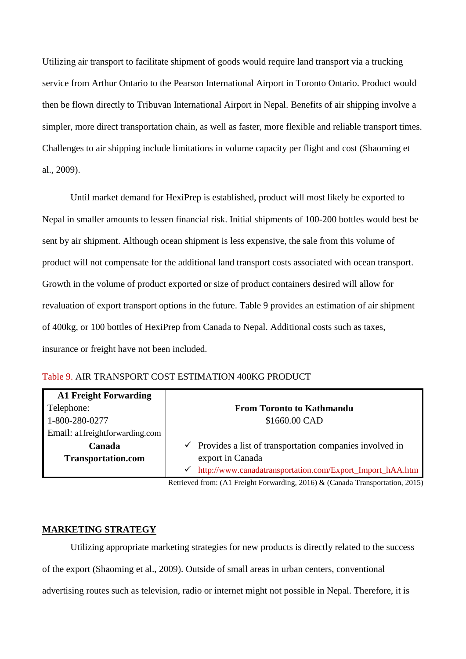Utilizing air transport to facilitate shipment of goods would require land transport via a trucking service from Arthur Ontario to the Pearson International Airport in Toronto Ontario. Product would then be flown directly to Tribuvan International Airport in Nepal. Benefits of air shipping involve a simpler, more direct transportation chain, as well as faster, more flexible and reliable transport times. Challenges to air shipping include limitations in volume capacity per flight and cost (Shaoming et al., 2009).

Until market demand for HexiPrep is established, product will most likely be exported to Nepal in smaller amounts to lessen financial risk. Initial shipments of 100-200 bottles would best be sent by air shipment. Although ocean shipment is less expensive, the sale from this volume of product will not compensate for the additional land transport costs associated with ocean transport. Growth in the volume of product exported or size of product containers desired will allow for revaluation of export transport options in the future. Table 9 provides an estimation of air shipment of 400kg, or 100 bottles of HexiPrep from Canada to Nepal. Additional costs such as taxes, insurance or freight have not been included.

| <b>A1 Freight Forwarding</b>   |                                                                  |
|--------------------------------|------------------------------------------------------------------|
| Telephone:                     | <b>From Toronto to Kathmandu</b>                                 |
| 1-800-280-0277                 | \$1660.00 CAD                                                    |
| Email: a1freightforwarding.com |                                                                  |
| Canada                         | Provides a list of transportation companies involved in<br>✓     |
| <b>Transportation.com</b>      | export in Canada                                                 |
|                                | http://www.canadatransportation.com/Export_Import_hAA.htm  <br>✓ |

Table 9. AIR TRANSPORT COST ESTIMATION 400KG PRODUCT

Retrieved from: (A1 Freight Forwarding, 2016) & (Canada Transportation, 2015)

## <span id="page-16-0"></span>**MARKETING STRATEGY**

Utilizing appropriate marketing strategies for new products is directly related to the success of the export (Shaoming et al., 2009). Outside of small areas in urban centers, conventional advertising routes such as television, radio or internet might not possible in Nepal. Therefore, it is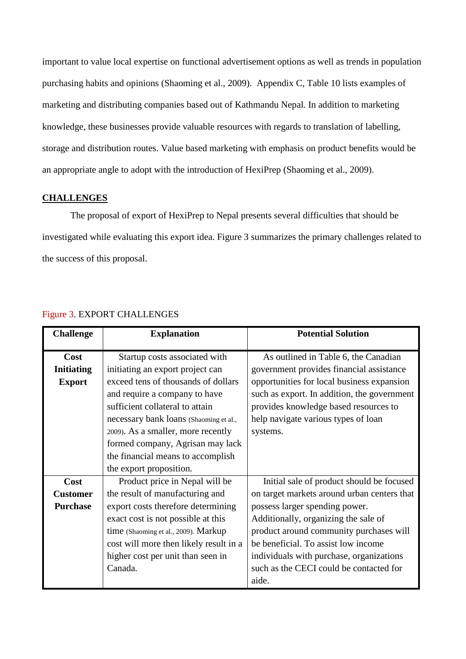important to value local expertise on functional advertisement options as well as trends in population purchasing habits and opinions (Shaoming et al., 2009). Appendix C, Table 10 lists examples of marketing and distributing companies based out of Kathmandu Nepal. In addition to marketing knowledge, these businesses provide valuable resources with regards to translation of labelling, storage and distribution routes. Value based marketing with emphasis on product benefits would be an appropriate angle to adopt with the introduction of HexiPrep (Shaoming et al., 2009).

## <span id="page-17-0"></span>**CHALLENGES**

The proposal of export of HexiPrep to Nepal presents several difficulties that should be investigated while evaluating this export idea. Figure 3 summarizes the primary challenges related to the success of this proposal.

| <b>Challenge</b>  | <b>Explanation</b>                     | <b>Potential Solution</b>                   |
|-------------------|----------------------------------------|---------------------------------------------|
| Cost              | Startup costs associated with          | As outlined in Table 6, the Canadian        |
| <b>Initiating</b> | initiating an export project can       | government provides financial assistance    |
| <b>Export</b>     | exceed tens of thousands of dollars    | opportunities for local business expansion  |
|                   | and require a company to have          | such as export. In addition, the government |
|                   | sufficient collateral to attain        | provides knowledge based resources to       |
|                   | necessary bank loans (Shaoming et al., | help navigate various types of loan         |
|                   | 2009). As a smaller, more recently     | systems.                                    |
|                   | formed company, Agrisan may lack       |                                             |
|                   | the financial means to accomplish      |                                             |
|                   | the export proposition.                |                                             |
| Cost              | Product price in Nepal will be         | Initial sale of product should be focused   |
| <b>Customer</b>   | the result of manufacturing and        | on target markets around urban centers that |
| <b>Purchase</b>   | export costs therefore determining     | possess larger spending power.              |
|                   | exact cost is not possible at this     | Additionally, organizing the sale of        |
|                   | time (Shaoming et al., 2009). Markup   | product around community purchases will     |
|                   | cost will more then likely result in a | be beneficial. To assist low income         |
|                   | higher cost per unit than seen in      | individuals with purchase, organizations    |
|                   | Canada.                                | such as the CECI could be contacted for     |
|                   |                                        | aide.                                       |

## Figure 3. EXPORT CHALLENGES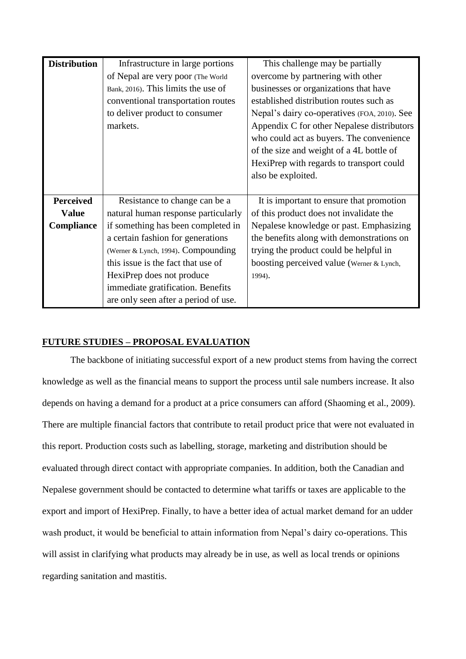| <b>Distribution</b> | Infrastructure in large portions     | This challenge may be partially              |
|---------------------|--------------------------------------|----------------------------------------------|
|                     | of Nepal are very poor (The World    | overcome by partnering with other            |
|                     | Bank, 2016). This limits the use of  | businesses or organizations that have        |
|                     | conventional transportation routes   | established distribution routes such as      |
|                     | to deliver product to consumer       | Nepal's dairy co-operatives (FOA, 2010). See |
|                     | markets.                             | Appendix C for other Nepalese distributors   |
|                     |                                      | who could act as buyers. The convenience     |
|                     |                                      | of the size and weight of a 4L bottle of     |
|                     |                                      | HexiPrep with regards to transport could     |
|                     |                                      | also be exploited.                           |
|                     |                                      |                                              |
| <b>Perceived</b>    | Resistance to change can be a        | It is important to ensure that promotion     |
| <b>Value</b>        | natural human response particularly  | of this product does not invalidate the      |
| Compliance          | if something has been completed in   | Nepalese knowledge or past. Emphasizing      |
|                     | a certain fashion for generations    | the benefits along with demonstrations on    |
|                     | (Werner & Lynch, 1994). Compounding  | trying the product could be helpful in       |
|                     | this issue is the fact that use of   | boosting perceived value (Werner & Lynch,    |
|                     | HexiPrep does not produce            | 1994).                                       |
|                     | immediate gratification. Benefits    |                                              |
|                     | are only seen after a period of use. |                                              |

## <span id="page-18-0"></span>**FUTURE STUDIES – PROPOSAL EVALUATION**

The backbone of initiating successful export of a new product stems from having the correct knowledge as well as the financial means to support the process until sale numbers increase. It also depends on having a demand for a product at a price consumers can afford (Shaoming et al., 2009). There are multiple financial factors that contribute to retail product price that were not evaluated in this report. Production costs such as labelling, storage, marketing and distribution should be evaluated through direct contact with appropriate companies. In addition, both the Canadian and Nepalese government should be contacted to determine what tariffs or taxes are applicable to the export and import of HexiPrep. Finally, to have a better idea of actual market demand for an udder wash product, it would be beneficial to attain information from Nepal's dairy co-operations. This will assist in clarifying what products may already be in use, as well as local trends or opinions regarding sanitation and mastitis.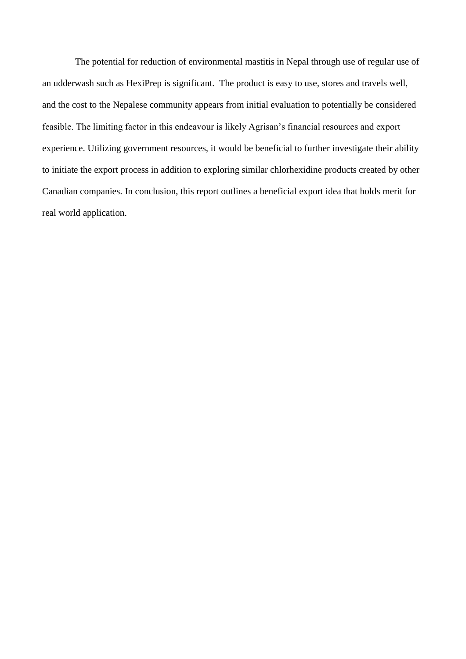The potential for reduction of environmental mastitis in Nepal through use of regular use of an udderwash such as HexiPrep is significant. The product is easy to use, stores and travels well, and the cost to the Nepalese community appears from initial evaluation to potentially be considered feasible. The limiting factor in this endeavour is likely Agrisan's financial resources and export experience. Utilizing government resources, it would be beneficial to further investigate their ability to initiate the export process in addition to exploring similar chlorhexidine products created by other Canadian companies. In conclusion, this report outlines a beneficial export idea that holds merit for real world application.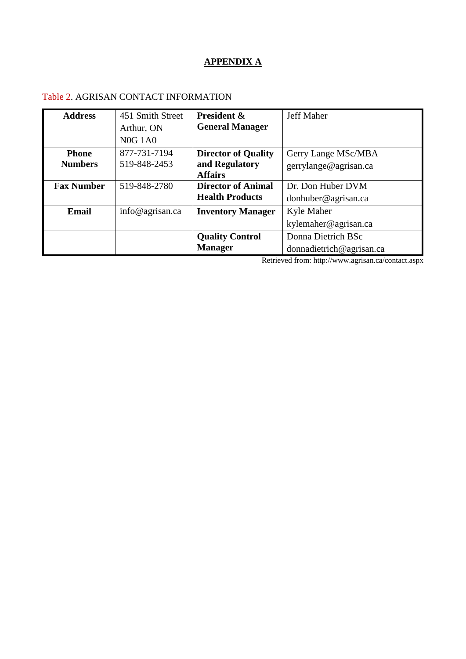# **APPENDIX A**

## <span id="page-20-0"></span>Table 2. AGRISAN CONTACT INFORMATION

| <b>Address</b>    | 451 Smith Street | <b>President &amp;</b>     | <b>Jeff Maher</b>        |
|-------------------|------------------|----------------------------|--------------------------|
|                   | Arthur, ON       | <b>General Manager</b>     |                          |
|                   | <b>N0G 1A0</b>   |                            |                          |
| <b>Phone</b>      | 877-731-7194     | <b>Director of Quality</b> | Gerry Lange MSc/MBA      |
| <b>Numbers</b>    | 519-848-2453     | and Regulatory             | gerrylange@agrisan.ca    |
|                   |                  | <b>Affairs</b>             |                          |
| <b>Fax Number</b> | 519-848-2780     | <b>Director of Animal</b>  | Dr. Don Huber DVM        |
|                   |                  | <b>Health Products</b>     | donhuber@agrisan.ca      |
| Email             | info@agrisan.ca  | <b>Inventory Manager</b>   | Kyle Maher               |
|                   |                  |                            | kylemaher@agrisan.ca     |
|                   |                  | <b>Quality Control</b>     | Donna Dietrich BSc       |
|                   |                  | <b>Manager</b>             | donnadietrich@agrisan.ca |

Retrieved from:<http://www.agrisan.ca/contact.aspx>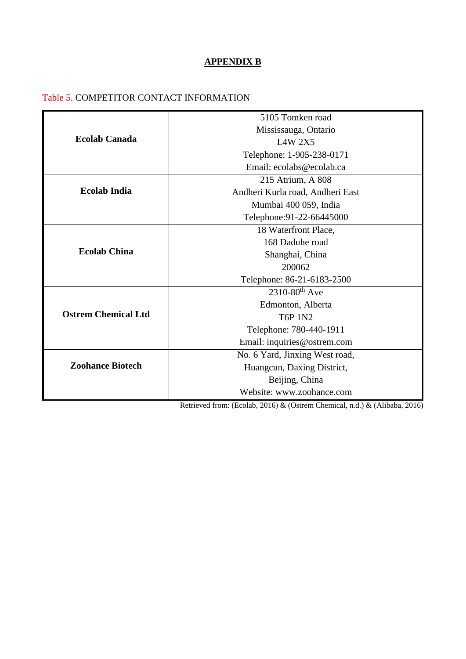## **APPENDIX B**

## <span id="page-21-0"></span>Table 5. COMPETITOR CONTACT INFORMATION

|                            | 5105 Tomken road                 |
|----------------------------|----------------------------------|
|                            | Mississauga, Ontario             |
| <b>Ecolab Canada</b>       | <b>L4W 2X5</b>                   |
|                            | Telephone: 1-905-238-0171        |
|                            | Email: ecolabs@ecolab.ca         |
|                            | 215 Atrium, A 808                |
| <b>Ecolab India</b>        | Andheri Kurla road, Andheri East |
|                            | Mumbai 400 059, India            |
|                            | Telephone: 91-22-66445000        |
|                            | 18 Waterfront Place,             |
|                            | 168 Daduhe road                  |
| <b>Ecolab China</b>        | Shanghai, China                  |
|                            | 200062                           |
|                            | Telephone: 86-21-6183-2500       |
|                            | $2310 - 80$ <sup>th</sup> Ave    |
|                            | Edmonton, Alberta                |
| <b>Ostrem Chemical Ltd</b> | <b>T6P 1N2</b>                   |
|                            | Telephone: 780-440-1911          |
|                            | Email: inquiries@ostrem.com      |
|                            | No. 6 Yard, Jinxing West road,   |
| <b>Zoohance Biotech</b>    | Huangcun, Daxing District,       |
|                            | Beijing, China                   |
|                            | Website: www.zoohance.com        |

Retrieved from: (Ecolab, 2016) & (Ostrem Chemical, n.d.) & (Alibaba, 2016)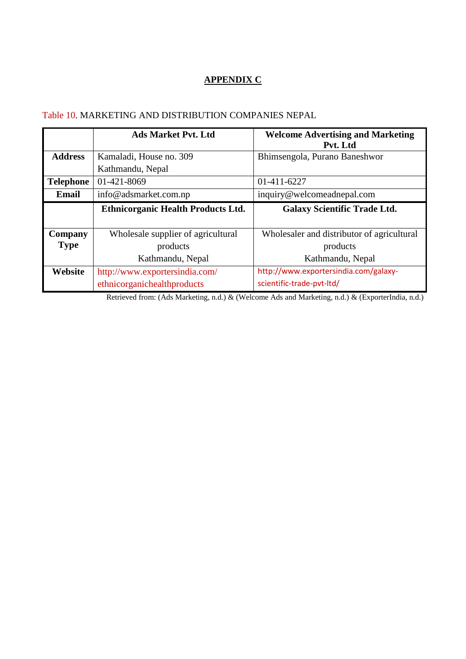## **APPENDIX C**

## <span id="page-22-0"></span>Table 10. MARKETING AND DISTRIBUTION COMPANIES NEPAL

|                  | <b>Ads Market Pvt. Ltd</b>                | <b>Welcome Advertising and Marketing</b><br>Pvt. Ltd |
|------------------|-------------------------------------------|------------------------------------------------------|
| <b>Address</b>   | Kamaladi, House no. 309                   | Bhimsengola, Purano Baneshwor                        |
|                  | Kathmandu, Nepal                          |                                                      |
| <b>Telephone</b> | 01-421-8069                               | 01-411-6227                                          |
| <b>Email</b>     | info@adsmarket.com.np                     | inquiry@welcomeadnepal.com                           |
|                  | <b>Ethnicorganic Health Products Ltd.</b> | <b>Galaxy Scientific Trade Ltd.</b>                  |
|                  |                                           |                                                      |
| Company          | Wholesale supplier of agricultural        | Wholesaler and distributor of agricultural           |
| <b>Type</b>      | products                                  | products                                             |
|                  | Kathmandu, Nepal                          | Kathmandu, Nepal                                     |
| Website          | http://www.exportersindia.com/            | http://www.exportersindia.com/galaxy-                |
|                  | ethnicorganichealthproducts               | scientific-trade-pvt-ltd/                            |

Retrieved from: (Ads Marketing, n.d.) & (Welcome Ads and Marketing, n.d.) & (ExporterIndia, n.d.)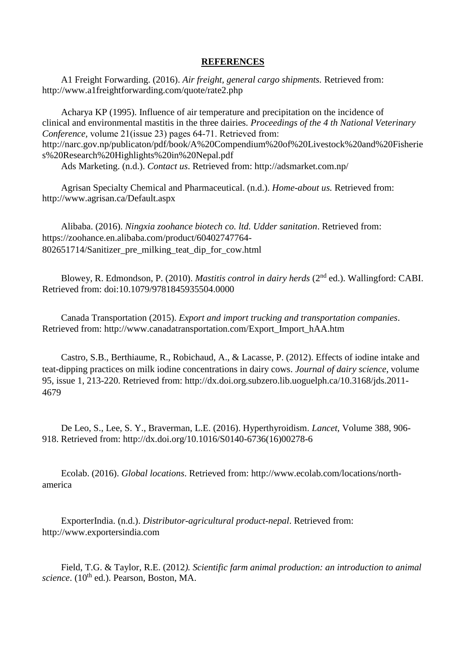## **REFERENCES**

<span id="page-23-0"></span> A1 Freight Forwarding. (2016). *Air freight, general cargo shipments.* Retrieved from: <http://www.a1freightforwarding.com/quote/rate2.php>

 Acharya KP (1995). Influence of air temperature and precipitation on the incidence of clinical and environmental mastitis in the three dairies*. Proceedings of the 4 th National Veterinary Conference, volume 21(issue 23) pages 64-71. Retrieved from:* [http://narc.gov.np/publicaton/pdf/book/A%20Compendium%20of%20Livestock%20and%20Fisherie](http://narc.gov.np/publicaton/pdf/book/A%20Compendium%20of%20Livestock%20and%20Fisheries%20Research%20Highlights%20in%20Nepal.pdf) [s%20Research%20Highlights%20in%20Nepal.pdf](http://narc.gov.np/publicaton/pdf/book/A%20Compendium%20of%20Livestock%20and%20Fisheries%20Research%20Highlights%20in%20Nepal.pdf)

Ads Marketing. (n.d.). *Contact us*. Retrieved from:<http://adsmarket.com.np/>

 Agrisan Specialty Chemical and Pharmaceutical. (n.d.). *Home-about us.* Retrieved from: <http://www.agrisan.ca/Default.aspx>

 Alibaba. (2016). *Ningxia zoohance biotech co. ltd. Udder sanitation*. Retrieved from: [https://zoohance.en.alibaba.com/product/60402747764-](https://zoohance.en.alibaba.com/product/60402747764-802651714/Sanitizer_pre_milking_teat_dip_for_cow.html) [802651714/Sanitizer\\_pre\\_milking\\_teat\\_dip\\_for\\_cow.html](https://zoohance.en.alibaba.com/product/60402747764-802651714/Sanitizer_pre_milking_teat_dip_for_cow.html)

 Blowey, R. Edmondson, P. (2010). *Mastitis control in dairy herds* (2nd ed.). Wallingford: CABI. Retrieved from: doi[:10.1079/9781845935504.0000](http://dx.doi.org.subzero.lib.uoguelph.ca/10.1079/9781845935504.0000) 

 Canada Transportation (2015). *Export and import trucking and transportation companies*. Retrieved from: [http://www.canadatransportation.com/Export\\_Import\\_hAA.htm](http://www.canadatransportation.com/Export_Import_hAA.htm)

 Castro, S.B., Berthiaume, R., Robichaud, A., & Lacasse, P. (2012). Effects of iodine intake and teat-dipping practices on milk iodine concentrations in dairy cows. *Journal of dairy science*, volume 95, issue 1, 213-220. Retrieved from: [http://dx.doi.org.subzero.lib.uoguelph.ca/10.3168/jds.2011-](http://dx.doi.org.subzero.lib.uoguelph.ca/10.3168/jds.2011-4679) [4679](http://dx.doi.org.subzero.lib.uoguelph.ca/10.3168/jds.2011-4679)

 De Leo, S., Lee, S. Y., Braverman, L.E. (2016). Hyperthyroidism. *Lancet,* Volume 388, 906- 918. Retrieved from: [http://dx.doi.org/10.1016/S0140-6736\(16\)00278-6](http://dx.doi.org/10.1016/S0140-6736(16)00278-6)

 Ecolab. (2016). *Global locations*. Retrieved from: [http://www.ecolab.com/locations/north](http://www.ecolab.com/locations/north-america)[america](http://www.ecolab.com/locations/north-america)

 ExporterIndia. (n.d.). *Distributor-agricultural product-nepal*. Retrieved from: http://www.exportersindia.com

 Field, T.G. & Taylor, R.E. (2012*). Scientific farm animal production: an introduction to animal science*. (10<sup>th</sup> ed.). Pearson, Boston, MA.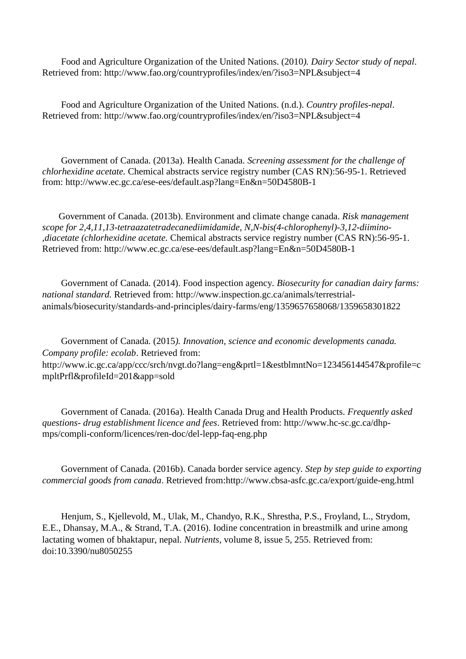Food and Agriculture Organization of the United Nations. (2010*). Dairy Sector study of nepal*. Retrieved from:<http://www.fao.org/countryprofiles/index/en/?iso3=NPL&subject=4>

 Food and Agriculture Organization of the United Nations. (n.d.). *Country profiles-nepal*. Retrieved from:<http://www.fao.org/countryprofiles/index/en/?iso3=NPL&subject=4>

 Government of Canada. (2013a). Health Canada. *Screening assessment for the challenge of chlorhexidine acetate.* Chemical abstracts service registry number (CAS RN):56-95-1. Retrieved from:<http://www.ec.gc.ca/ese-ees/default.asp?lang=En&n=50D4580B-1>

 Government of Canada. (2013b). Environment and climate change canada. *Risk management scope for 2,4,11,13-tetraazatetradecanediimidamide, N,N-bis(4-chlorophenyl)-3,12-diimino- ,diacetate (chlorhexidine acetate.* Chemical abstracts service registry number (CAS RN):56-95-1. Retrieved from:<http://www.ec.gc.ca/ese-ees/default.asp?lang=En&n=50D4580B-1>

 Government of Canada. (2014). Food inspection agency*. Biosecurity for canadian dairy farms: national standard.* Retrieved from: [http://www.inspection.gc.ca/animals/terrestrial](http://www.inspection.gc.ca/animals/terrestrial-animals/biosecurity/standards-and-principles/dairy-farms/eng/1359657658068/1359658301822)[animals/biosecurity/standards-and-principles/dairy-farms/eng/1359657658068/1359658301822](http://www.inspection.gc.ca/animals/terrestrial-animals/biosecurity/standards-and-principles/dairy-farms/eng/1359657658068/1359658301822)

 Government of Canada. (2015*). Innovation, science and economic developments canada. Company profile: ecolab*. Retrieved from: [http://www.ic.gc.ca/app/ccc/srch/nvgt.do?lang=eng&prtl=1&estblmntNo=123456144547&profile=c](http://www.ic.gc.ca/app/ccc/srch/nvgt.do?lang=eng&prtl=1&estblmntNo=123456144547&profile=cmpltPrfl&profileId=201&app=sold) [mpltPrfl&profileId=201&app=sold](http://www.ic.gc.ca/app/ccc/srch/nvgt.do?lang=eng&prtl=1&estblmntNo=123456144547&profile=cmpltPrfl&profileId=201&app=sold)

 Government of Canada. (2016a). Health Canada Drug and Health Products. *Frequently asked questions- drug establishment licence and fees*. Retrieved from: [http://www.hc-sc.gc.ca/dhp](http://www.hc-sc.gc.ca/dhp-mps/compli-conform/licences/ren-doc/del-lepp-faq-eng.php)[mps/compli-conform/licences/ren-doc/del-lepp-faq-eng.php](http://www.hc-sc.gc.ca/dhp-mps/compli-conform/licences/ren-doc/del-lepp-faq-eng.php)

 Government of Canada. (2016b). Canada border service agency*. Step by step guide to exporting commercial goods from canada*. Retrieved from[:http://www.cbsa-asfc.gc.ca/export/guide-eng.html](http://www.cbsa-asfc.gc.ca/export/guide-eng.html)

 Henjum, S., Kjellevold, M., Ulak, M., Chandyo, R.K., Shrestha, P.S., Froyland, L., Strydom, E.E., Dhansay, M.A., & Strand, T.A. (2016). Iodine concentration in breastmilk and urine among lactating women of bhaktapur, nepal. *Nutrients*, volume 8, issue 5, 255. Retrieved from: doi[:10.3390/nu8050255](http://dx.doi.org/10.3390/nu8050255)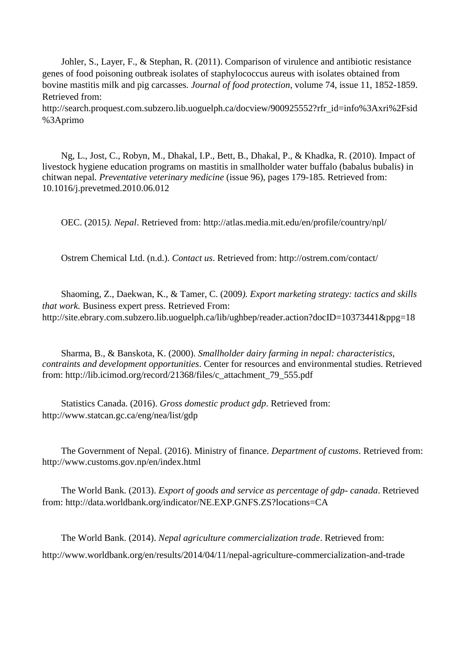Johler, S., Layer, F., & Stephan, R. (2011). Comparison of virulence and antibiotic resistance genes of food poisoning outbreak isolates of staphylococcus aureus with isolates obtained from bovine mastitis milk and pig carcasses*. Journal of food protection*, volume 74, issue 11, 1852-1859. Retrieved from:

[http://search.proquest.com.subzero.lib.uoguelph.ca/docview/900925552?rfr\\_id=info%3Axri%2Fsid](http://search.proquest.com.subzero.lib.uoguelph.ca/docview/900925552?rfr_id=info%3Axri%2Fsid%3Aprimo) [%3Aprimo](http://search.proquest.com.subzero.lib.uoguelph.ca/docview/900925552?rfr_id=info%3Axri%2Fsid%3Aprimo)

 Ng, L., Jost, C., Robyn, M., Dhakal, I.P., Bett, B., Dhakal, P., & Khadka, R. (2010). Impact of livestock hygiene education programs on mastitis in smallholder water buffalo (babalus bubalis) in chitwan nepal*. Preventative veterinary medicine* (issue 96), pages 179-185. Retrieved from: [10.1016/j.prevetmed.2010.06.012](https://dx.doi.org/10.1016%2Fj.prevetmed.2010.06.012)

OEC. (2015*). Nepal*. Retrieved from:<http://atlas.media.mit.edu/en/profile/country/npl/>

Ostrem Chemical Ltd. (n.d.). *Contact us*. Retrieved from: http://ostrem.com/contact/

 Shaoming, Z., Daekwan, K., & Tamer, C. (2009*). Export marketing strategy: tactics and skills that work.* Business expert press. Retrieved From: <http://site.ebrary.com.subzero.lib.uoguelph.ca/lib/ughbep/reader.action?docID=10373441&ppg=18>

 Sharma, B., & Banskota, K. (2000). *Smallholder dairy farming in nepal: characteristics, contraints and development opportunities*. Center for resources and environmental studies. Retrieved from: http://lib.icimod.org/record/21368/files/c\_attachment\_79\_555.pdf

 Statistics Canada. (2016). *Gross domestic product gdp*. Retrieved from: <http://www.statcan.gc.ca/eng/nea/list/gdp>

 The Government of Nepal. (2016). Ministry of finance. *Department of customs*. Retrieved from: <http://www.customs.gov.np/en/index.html>

 The World Bank. (2013). *Export of goods and service as percentage of gdp- canada*. Retrieved from:<http://data.worldbank.org/indicator/NE.EXP.GNFS.ZS?locations=CA>

 The World Bank. (2014). *Nepal agriculture commercialization trade*. Retrieved from: <http://www.worldbank.org/en/results/2014/04/11/nepal-agriculture-commercialization-and-trade>